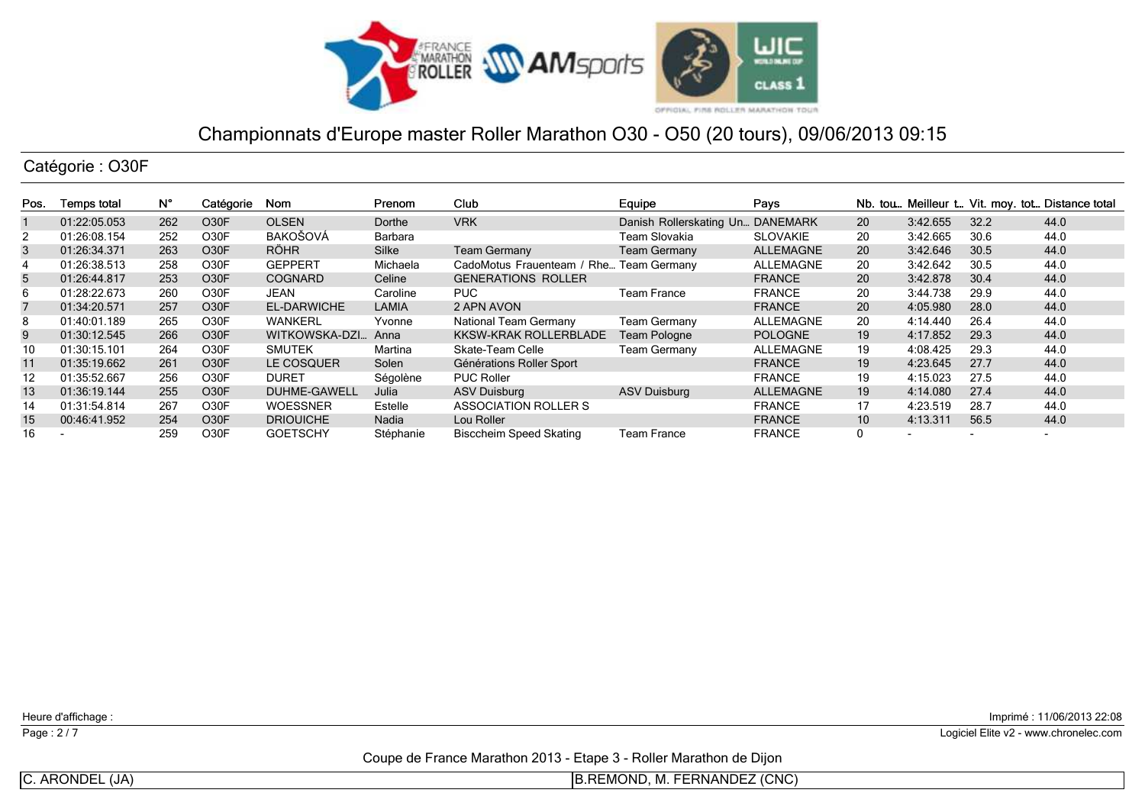

Catégorie : O30F

| Pos. | Temps total  | Ν°  | Catégorie         | Nom                 | Prenom    | Club                           | Equipe                           | Pays             |                 |          |                          | Nb. tou Meilleur t Vit. moy. tot Distance total |
|------|--------------|-----|-------------------|---------------------|-----------|--------------------------------|----------------------------------|------------------|-----------------|----------|--------------------------|-------------------------------------------------|
|      | 01:22:05.053 | 262 | O <sub>30</sub> F | <b>OLSEN</b>        | Dorthe    | <b>VRK</b>                     | Danish Rollerskating Un DANEMARK |                  | <b>20</b>       | 3:42.655 | 32.2                     | 44.0                                            |
| 2    | 01:26:08.154 | 252 | O30F              | BAKOŠOVÁ            | Barbara   |                                | Team Slovakia                    | <b>SLOVAKIE</b>  | 20              | 3:42.665 | 30.6                     | 44.0                                            |
| 3    | 01:26:34.371 | 263 | O <sub>3</sub> 0F | <b>RÖHR</b>         | Silke     | <b>Team Germany</b>            | <b>Team Germany</b>              | <b>ALLEMAGNE</b> | <b>20</b>       | 3:42.646 | 30.5                     | 44.0                                            |
| 4    | 01:26:38.513 | 258 | O30F              | <b>GEPPERT</b>      | Michaela  | CadoMotus Frauenteam / Rhe     | <b>Team Germany</b>              | ALLEMAGNE        | 20              | 3:42.642 | 30.5                     | 44.0                                            |
| 5    | 01:26:44.817 | 253 | O <sub>3</sub> 0F | <b>COGNARD</b>      | Celine    | <b>GENERATIONS ROLLER</b>      |                                  | <b>FRANCE</b>    | 20              | 3:42.878 | 30.4                     | 44.0                                            |
| 6    | 01:28:22.673 | 260 | O30F              | JEAN                | Caroline  | <b>PUC</b>                     | <b>Team France</b>               | <b>FRANCE</b>    | 20              | 3:44.738 | 29.9                     | 44.0                                            |
|      | 01:34:20.571 | 257 | O <sub>3</sub> 0F | <b>EL-DARWICHE</b>  | LAMIA     | 2 APN AVON                     |                                  | <b>FRANCE</b>    | 20              | 4:05.980 | 28.0                     | 44.0                                            |
| 8    | 01:40:01.189 | 265 | O30F              | <b>WANKERL</b>      | Yvonne    | National Team Germany          | <b>Team Germany</b>              | ALLEMAGNE        | 20              | 4:14.440 | 26.4                     | 44.0                                            |
| 9    | 01:30:12.545 | 266 | O <sub>3</sub> 0F | WITKOWSKA-DZI       | Anna      | <b>KKSW-KRAK ROLLERBLADE</b>   | Team Pologne                     | <b>POLOGNE</b>   | 19              | 4:17.852 | 29.3                     | 44.0                                            |
| 10   | 01:30:15.101 | 264 | O30F              | <b>SMUTEK</b>       | Martina   | Skate-Team Celle               | <b>Team Germany</b>              | ALLEMAGNE        | 19              | 4:08.425 | 29.3                     | 44.0                                            |
| 11   | 01:35:19.662 | 261 | O <sub>3</sub> 0F | LE COSQUER          | Solen     | Générations Roller Sport       |                                  | <b>FRANCE</b>    | 19              | 4:23.645 | 27.7                     | 44.0                                            |
| 12   | 01:35:52.667 | 256 | O30F              | <b>DURET</b>        | Ségolène  | <b>PUC Roller</b>              |                                  | <b>FRANCE</b>    | 19              | 4:15.023 | 27.5                     | 44.0                                            |
| 13   | 01:36:19.144 | 255 | O <sub>3</sub> 0F | <b>DUHME-GAWELL</b> | Julia     | <b>ASV Duisburg</b>            | <b>ASV Duisburg</b>              | ALLEMAGNE        | 19              | 4:14.080 | 27.4                     | 44.0                                            |
| 14   | 01:31:54.814 | 267 | O30F              | <b>WOESSNER</b>     | Estelle   | ASSOCIATION ROLLER S           |                                  | <b>FRANCE</b>    | 17              | 4:23.519 | 28.7                     | 44.0                                            |
| 15   | 00:46:41.952 | 254 | O <sub>3</sub> 0F | <b>DRIOUICHE</b>    | Nadia     | Lou Roller                     |                                  | <b>FRANCE</b>    | 10 <sup>°</sup> | 4:13.311 | 56.5                     | 44.0                                            |
| 16   |              | 259 | O30F              | <b>GOETSCHY</b>     | Stéphanie | <b>Bisccheim Speed Skating</b> | Team France                      | <b>FRANCE</b>    |                 |          | $\overline{\phantom{0}}$ | $\overline{\phantom{0}}$                        |

Heure d'affichage :

Page : 2/7

Imprimé : 11/06/2013 22:08

Logiciel Elite v2 - www.chronelec.com

Coupe de France Marathon 2013 - Etape 3 - Roller Marathon de Dijon

C. ARONDEL (JA)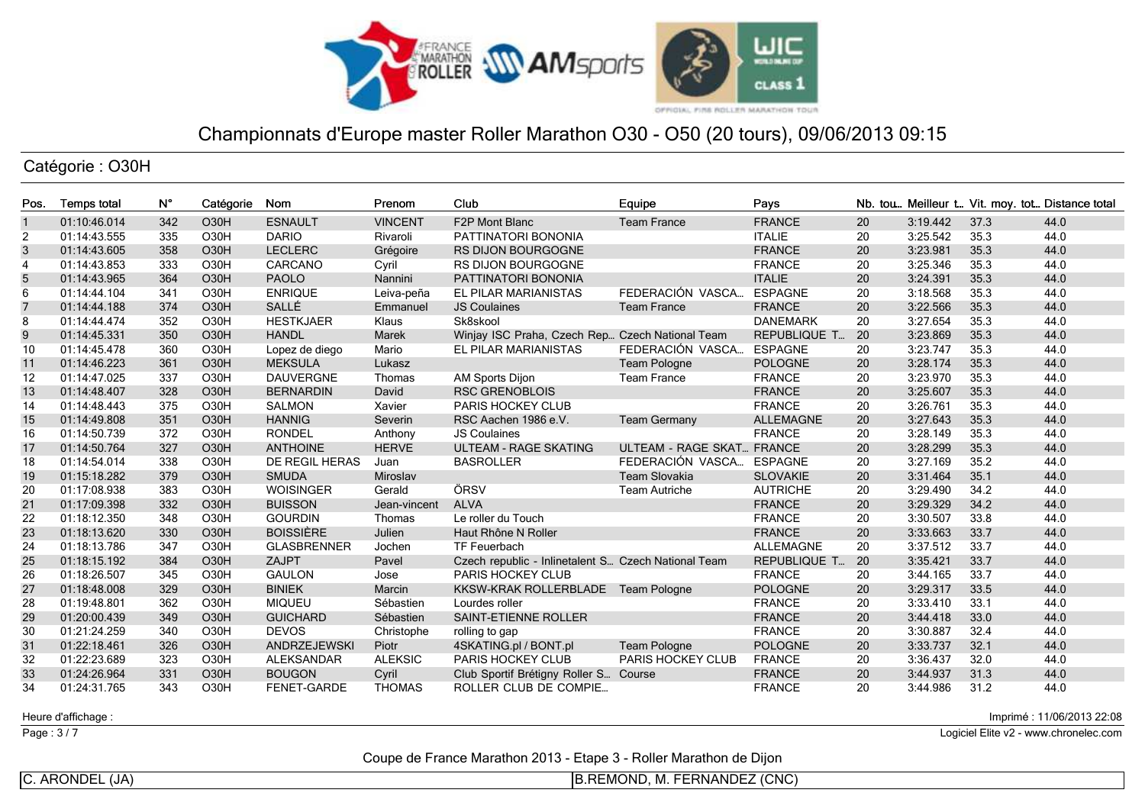

Catégorie : O30H

| Pos.           | <b>Temps total</b> | N°  | Catégorie         | Nom                | Prenom         | Club                                                | Equipe                    | Pays                |    |          |      | Nb. tou Meilleur t Vit. moy. tot Distance total |
|----------------|--------------------|-----|-------------------|--------------------|----------------|-----------------------------------------------------|---------------------------|---------------------|----|----------|------|-------------------------------------------------|
| $\overline{1}$ | 01:10:46.014       | 342 | O <sub>30</sub> H | <b>ESNAULT</b>     | <b>VINCENT</b> | F2P Mont Blanc                                      | <b>Team France</b>        | <b>FRANCE</b>       | 20 | 3:19.442 | 37.3 | 44.0                                            |
| 2              | 01:14:43.555       | 335 | O30H              | <b>DARIO</b>       | Rivaroli       | PATTINATORI BONONIA                                 |                           | <b>ITALIE</b>       | 20 | 3:25.542 | 35.3 | 44.0                                            |
| 3              | 01:14:43.605       | 358 | <b>O30H</b>       | <b>LECLERC</b>     | Grégoire       | <b>RS DIJON BOURGOGNE</b>                           |                           | <b>FRANCE</b>       | 20 | 3:23.981 | 35.3 | 44.0                                            |
| $\overline{4}$ | 01:14:43.853       | 333 | O <sub>30</sub> H | CARCANO            | Cyril          | <b>RS DIJON BOURGOGNE</b>                           |                           | <b>FRANCE</b>       | 20 | 3:25.346 | 35.3 | 44.0                                            |
| 5              | 01:14:43.965       | 364 | <b>O30H</b>       | <b>PAOLO</b>       | Nannini        | PATTINATORI BONONIA                                 |                           | <b>ITALIE</b>       | 20 | 3:24.391 | 35.3 | 44.0                                            |
| 6              | 01:14:44.104       | 341 | O30H              | <b>ENRIQUE</b>     | Leiva-peña     | EL PILAR MARIANISTAS                                | FEDERACIÓN VASCA          | <b>ESPAGNE</b>      | 20 | 3:18.568 | 35.3 | 44.0                                            |
| $\overline{7}$ | 01:14:44.188       | 374 | O30H              | SALLÉ              | Emmanuel       | <b>JS Coulaines</b>                                 | <b>Team France</b>        | <b>FRANCE</b>       | 20 | 3:22.566 | 35.3 | 44.0                                            |
| 8              | 01:14:44.474       | 352 | O30H              | <b>HESTKJAER</b>   | Klaus          | Sk8skool                                            |                           | <b>DANEMARK</b>     | 20 | 3:27.654 | 35.3 | 44.0                                            |
| 9              | 01:14:45.331       | 350 | <b>O30H</b>       | <b>HANDL</b>       | Marek          | Winjay ISC Praha, Czech Rep Czech National Team     |                           | <b>REPUBLIQUE T</b> | 20 | 3:23.869 | 35.3 | 44.0                                            |
| 10             | 01:14:45.478       | 360 | O <sub>30</sub> H | Lopez de diego     | Mario          | EL PILAR MARIANISTAS                                | FEDERACIÓN VASCA          | <b>ESPAGNE</b>      | 20 | 3:23.747 | 35.3 | 44.0                                            |
| 11             | 01:14:46.223       | 361 | O30H              | <b>MEKSULA</b>     | Lukasz         |                                                     | Team Pologne              | <b>POLOGNE</b>      | 20 | 3:28.174 | 35.3 | 44.0                                            |
| 12             | 01:14:47.025       | 337 | O30H              | <b>DAUVERGNE</b>   | Thomas         | AM Sports Dijon                                     | <b>Team France</b>        | <b>FRANCE</b>       | 20 | 3:23.970 | 35.3 | 44.0                                            |
| 13             | 01:14:48.407       | 328 | O30H              | <b>BERNARDIN</b>   | David          | <b>RSC GRENOBLOIS</b>                               |                           | <b>FRANCE</b>       | 20 | 3:25.607 | 35.3 | 44.0                                            |
| 14             | 01:14:48.443       | 375 | O <sub>30</sub> H | <b>SALMON</b>      | Xavier         | <b>PARIS HOCKEY CLUB</b>                            |                           | <b>FRANCE</b>       | 20 | 3:26.761 | 35.3 | 44.0                                            |
| 15             | 01:14:49.808       | 351 | O30H              | <b>HANNIG</b>      | Severin        | RSC Aachen 1986 e.V.                                | <b>Team Germany</b>       | <b>ALLEMAGNE</b>    | 20 | 3:27.643 | 35.3 | 44.0                                            |
| 16             | 01:14:50.739       | 372 | O30H              | <b>RONDEL</b>      | Anthony        | <b>JS Coulaines</b>                                 |                           | <b>FRANCE</b>       | 20 | 3:28.149 | 35.3 | 44.0                                            |
| 17             | 01:14:50.764       | 327 | O30H              | <b>ANTHOINE</b>    | <b>HERVE</b>   | <b>ULTEAM - RAGE SKATING</b>                        | <b>ULTEAM - RAGE SKAT</b> | <b>FRANCE</b>       | 20 | 3:28.299 | 35.3 | 44.0                                            |
| 18             | 01:14:54.014       | 338 | O <sub>30</sub> H | DE REGIL HERAS     | Juan           | <b>BASROLLER</b>                                    | FEDERACIÓN VASCA          | <b>ESPAGNE</b>      | 20 | 3:27.169 | 35.2 | 44.0                                            |
| 19             | 01:15:18.282       | 379 | <b>O30H</b>       | <b>SMUDA</b>       | Miroslav       |                                                     | <b>Team Slovakia</b>      | <b>SLOVAKIE</b>     | 20 | 3:31.464 | 35.1 | 44.0                                            |
| 20             | 01:17:08.938       | 383 | O <sub>30</sub> H | <b>WOISINGER</b>   | Gerald         | ÖRSV                                                | <b>Team Autriche</b>      | <b>AUTRICHE</b>     | 20 | 3:29.490 | 34.2 | 44.0                                            |
| 21             | 01:17:09.398       | 332 | O30H              | <b>BUISSON</b>     | Jean-vincent   | <b>ALVA</b>                                         |                           | <b>FRANCE</b>       | 20 | 3:29.329 | 34.2 | 44.0                                            |
| 22             | 01:18:12.350       | 348 | O <sub>30</sub> H | <b>GOURDIN</b>     | Thomas         | Le roller du Touch                                  |                           | <b>FRANCE</b>       | 20 | 3:30.507 | 33.8 | 44.0                                            |
| 23             | 01:18:13.620       | 330 | <b>O30H</b>       | <b>BOISSIÈRE</b>   | Julien         | Haut Rhône N Roller                                 |                           | <b>FRANCE</b>       | 20 | 3:33.663 | 33.7 | 44.0                                            |
| 24             | 01:18:13.786       | 347 | O <sub>30</sub> H | <b>GLASBRENNER</b> | Jochen         | <b>TF Feuerbach</b>                                 |                           | <b>ALLEMAGNE</b>    | 20 | 3:37.512 | 33.7 | 44.0                                            |
| 25             | 01:18:15.192       | 384 | O <sub>30</sub> H | ZAJPT              | Pavel          | Czech republic - Inlinetalent S Czech National Team |                           | <b>REPUBLIQUE T</b> | 20 | 3:35.421 | 33.7 | 44.0                                            |
| 26             | 01:18:26.507       | 345 | O30H              | <b>GAULON</b>      | Jose           | PARIS HOCKEY CLUB                                   |                           | <b>FRANCE</b>       | 20 | 3:44.165 | 33.7 | 44.0                                            |
| 27             | 01:18:48.008       | 329 | O <sub>30</sub> H | <b>BINIEK</b>      | Marcin         | KKSW-KRAK ROLLERBLADE                               | Team Pologne              | <b>POLOGNE</b>      | 20 | 3:29.317 | 33.5 | 44.0                                            |
| 28             | 01:19:48.801       | 362 | O <sub>30</sub> H | <b>MIQUEU</b>      | Sébastien      | Lourdes roller                                      |                           | <b>FRANCE</b>       | 20 | 3:33.410 | 33.1 | 44.0                                            |
| 29             | 01:20:00.439       | 349 | O <sub>30</sub> H | <b>GUICHARD</b>    | Sébastien      | <b>SAINT-ETIENNE ROLLER</b>                         |                           | <b>FRANCE</b>       | 20 | 3:44.418 | 33.0 | 44.0                                            |
| 30             | 01:21:24.259       | 340 | O30H              | <b>DEVOS</b>       | Christophe     | rolling to gap                                      |                           | <b>FRANCE</b>       | 20 | 3:30.887 | 32.4 | 44.0                                            |
| 31             | 01:22:18.461       | 326 | O30H              | ANDRZEJEWSKI       | Piotr          | 4SKATING.pl / BONT.pl                               | Team Pologne              | <b>POLOGNE</b>      | 20 | 3:33.737 | 32.1 | 44.0                                            |
| 32             | 01:22:23.689       | 323 | O <sub>30</sub> H | <b>ALEKSANDAR</b>  | <b>ALEKSIC</b> | <b>PARIS HOCKEY CLUB</b>                            | <b>PARIS HOCKEY CLUB</b>  | <b>FRANCE</b>       | 20 | 3:36.437 | 32.0 | 44.0                                            |
| 33             | 01:24:26.964       | 331 | O <sub>30</sub> H | <b>BOUGON</b>      | Cyril          | Club Sportif Brétigny Roller S                      | Course                    | <b>FRANCE</b>       | 20 | 3:44.937 | 31.3 | 44.0                                            |
| 34             | 01:24:31.765       | 343 | O30H              | <b>FENET-GARDE</b> | <b>THOMAS</b>  | ROLLER CLUB DE COMPIE                               |                           | <b>FRANCE</b>       | 20 | 3:44.986 | 31.2 | 44.0                                            |

Heure d'affichage :

Page : 3/7

Imprimé : 11/06/2013 22:08

Logiciel Elite v2 - www.chronelec.com

Coupe de France Marathon 2013 - Etape 3 - Roller Marathon de Dijon

C. ARONDEL (JA)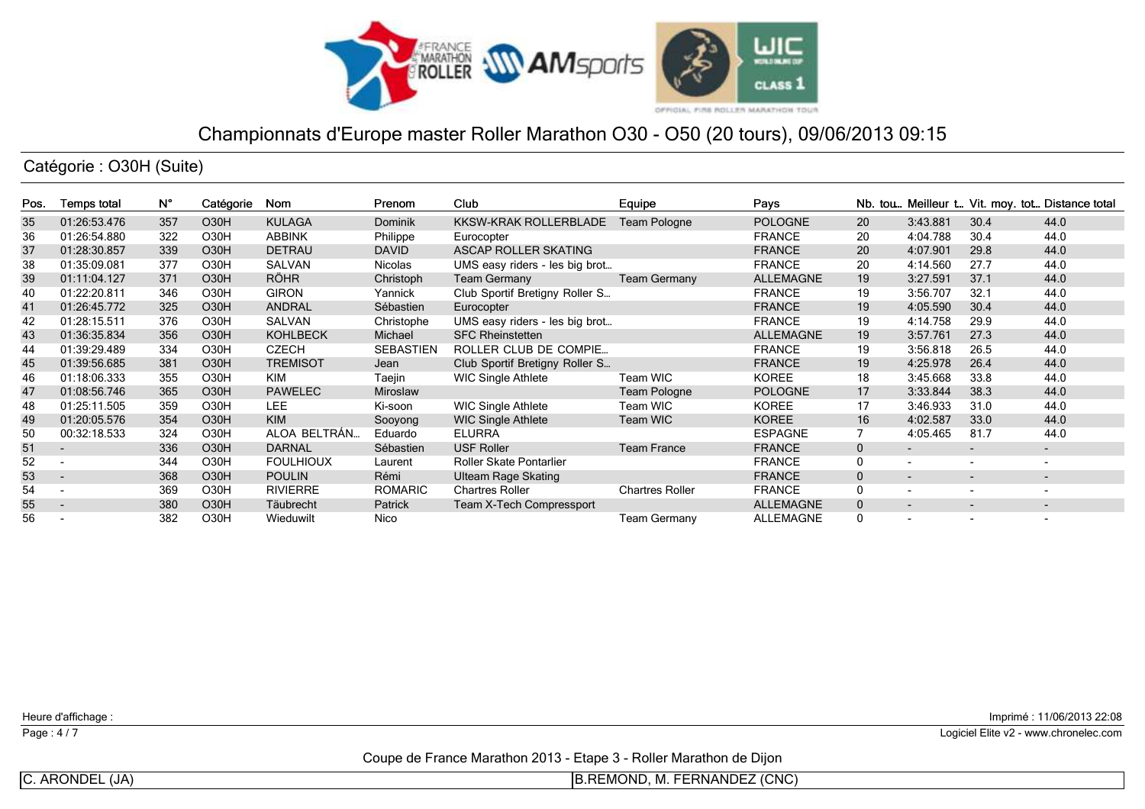

Catégorie : O30H (Suite)

| Pos. | Temps total              | N°  | Catégorie         | Nom              | Prenom           | <b>Club</b>                    | Equipe                 | Pays             |              |                          |                          | Nb. tou Meilleur t Vit. moy. tot Distance total |
|------|--------------------------|-----|-------------------|------------------|------------------|--------------------------------|------------------------|------------------|--------------|--------------------------|--------------------------|-------------------------------------------------|
| 35   | 01:26:53.476             | 357 | O <sub>3</sub> 0H | <b>KULAGA</b>    | <b>Dominik</b>   | KKSW-KRAK ROLLERBLADE          | Team Pologne           | <b>POLOGNE</b>   | 20           | 3:43.881                 | 30.4                     | 44.0                                            |
| 36   | 01:26:54.880             | 322 | O30H              | <b>ABBINK</b>    | Philippe         | Eurocopter                     |                        | <b>FRANCE</b>    | 20           | 4:04.788                 | 30.4                     | 44.0                                            |
| 37   | 01:28:30.857             | 339 | O30H              | <b>DETRAU</b>    | <b>DAVID</b>     | ASCAP ROLLER SKATING           |                        | <b>FRANCE</b>    | 20           | 4:07.901                 | 29.8                     | 44.0                                            |
| 38   | 01:35:09.081             | 377 | O30H              | SALVAN           | <b>Nicolas</b>   | UMS easy riders - les big brot |                        | <b>FRANCE</b>    | 20           | 4:14.560                 | 27.7                     | 44.0                                            |
| 39   | 01:11:04.127             | 371 | O30H              | <b>RÖHR</b>      | Christoph        | <b>Team Germany</b>            | <b>Team Germany</b>    | <b>ALLEMAGNE</b> | 19           | 3:27.591                 | 37.1                     | 44.0                                            |
| 40   | 01:22:20.811             | 346 | O30H              | <b>GIRON</b>     | Yannick          | Club Sportif Bretigny Roller S |                        | <b>FRANCE</b>    | 19           | 3:56.707                 | 32.1                     | 44.0                                            |
| 41   | 01:26:45.772             | 325 | O30H              | <b>ANDRAL</b>    | Sébastien        | Eurocopter                     |                        | <b>FRANCE</b>    | 19           | 4:05.590                 | 30.4                     | 44.0                                            |
| 42   | 01:28:15.511             | 376 | O <sub>3</sub> 0H | SALVAN           | Christophe       | UMS easy riders - les big brot |                        | <b>FRANCE</b>    | 19           | 4:14.758                 | 29.9                     | 44.0                                            |
| 43   | 01:36:35.834             | 356 | O30H              | <b>KOHLBECK</b>  | Michael          | <b>SFC Rheinstetten</b>        |                        | <b>ALLEMAGNE</b> | 19           | 3:57.761                 | 27.3                     | 44.0                                            |
| 44   | 01:39:29.489             | 334 | O30H              | <b>CZECH</b>     | <b>SEBASTIEN</b> | ROLLER CLUB DE COMPIE          |                        | <b>FRANCE</b>    | 19           | 3:56.818                 | 26.5                     | 44.0                                            |
| 45   | 01:39:56.685             | 381 | O30H              | <b>TREMISOT</b>  | Jean             | Club Sportif Bretigny Roller S |                        | <b>FRANCE</b>    | 19           | 4:25.978                 | 26.4                     | 44.0                                            |
| 46   | 01:18:06.333             | 355 | O30H              | <b>KIM</b>       | Taejin           | <b>WIC Single Athlete</b>      | Team WIC               | <b>KOREE</b>     | 18           | 3:45.668                 | 33.8                     | 44.0                                            |
| 47   | 01:08:56.746             | 365 | O30H              | <b>PAWELEC</b>   | Miroslaw         |                                | Team Pologne           | <b>POLOGNE</b>   | 17           | 3:33.844                 | 38.3                     | 44.0                                            |
| 48   | 01:25:11.505             | 359 | O30H              | LEE.             | Ki-soon          | <b>WIC Single Athlete</b>      | Team WIC               | <b>KOREE</b>     | 17           | 3:46.933                 | 31.0                     | 44.0                                            |
| 49   | 01:20:05.576             | 354 | O <sub>3</sub> 0H | <b>KIM</b>       | Sooyong          | <b>WIC Single Athlete</b>      | Team WIC               | <b>KOREE</b>     | 16           | 4:02.587                 | 33.0                     | 44.0                                            |
| 50   | 00:32:18.533             | 324 | O <sub>3</sub> 0H | ALOA BELTRÁN     | Eduardo          | <b>ELURRA</b>                  |                        | <b>ESPAGNE</b>   |              | 4:05.465                 | 81.7                     | 44.0                                            |
| 51   | $\overline{\phantom{a}}$ | 336 | O30H              | <b>DARNAL</b>    | Sébastien        | <b>USF Roller</b>              | <b>Team France</b>     | <b>FRANCE</b>    | $\mathbf{0}$ | $\overline{\phantom{a}}$ | ۰.                       | $\sim$                                          |
| 52   |                          | 344 | O30H              | <b>FOULHIOUX</b> | Laurent          | <b>Roller Skate Pontarlier</b> |                        | <b>FRANCE</b>    | $\mathbf{0}$ | $\overline{\phantom{a}}$ | $\overline{\phantom{a}}$ | $\overline{\phantom{a}}$                        |
| 53   | $\overline{\phantom{a}}$ | 368 | O30H              | <b>POULIN</b>    | Rémi             | Ulteam Rage Skating            |                        | <b>FRANCE</b>    | $\mathbf{0}$ | $\overline{\phantom{a}}$ | $\overline{\phantom{a}}$ | $\overline{\phantom{a}}$                        |
| 54   |                          | 369 | O <sub>3</sub> 0H | <b>RIVIERRE</b>  | ROMARIC          | <b>Chartres Roller</b>         | <b>Chartres Roller</b> | <b>FRANCE</b>    | $\Omega$     | $\overline{\phantom{0}}$ | $\overline{\phantom{0}}$ | $\overline{\phantom{0}}$                        |
| 55   | $\overline{\phantom{0}}$ | 380 | O30H              | Täubrecht        | <b>Patrick</b>   | Team X-Tech Compressport       |                        | <b>ALLEMAGNE</b> | $\mathbf{0}$ | $\overline{\phantom{0}}$ | ۰.                       | -                                               |
| 56   |                          | 382 | O30H              | Wieduwilt        | Nico             |                                | <b>Team Germany</b>    | ALLEMAGNE        | $\Omega$     | $\overline{\phantom{a}}$ |                          |                                                 |

Heure d'affichage :

Page : 4/7

Imprimé : 11/06/2013 22:08

Coupe de France Marathon 2013 - Etape 3 - Roller Marathon de Dijon

C. ARONDEL (JA)

B.REMOND, M. FERNANDEZ (CNC)

Logiciel Elite v2 - www.chronelec.com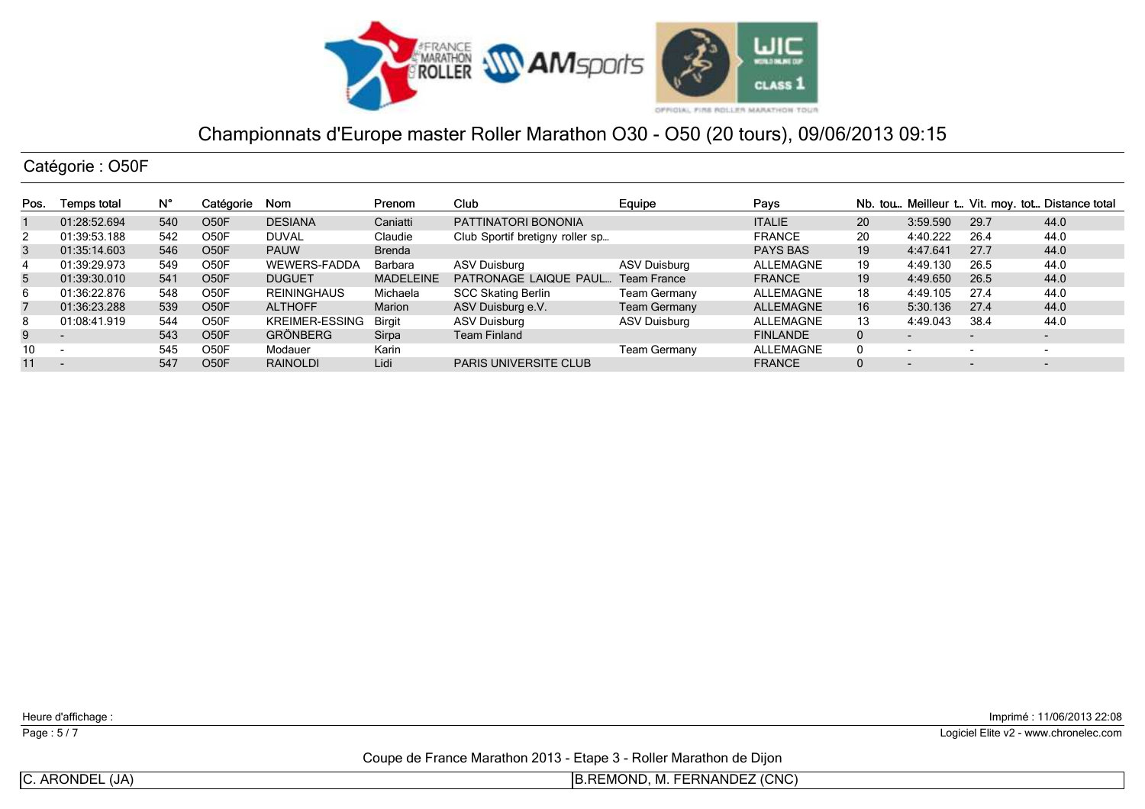

Catégorie : O50F

| Pos. | Temps total              | N°  | Catégorie         | Nom                   | Prenom           | Club                            | Equipe              | Pays             |              |                          |                          | Nb. tou Meilleur t Vit. moy. tot Distance total |
|------|--------------------------|-----|-------------------|-----------------------|------------------|---------------------------------|---------------------|------------------|--------------|--------------------------|--------------------------|-------------------------------------------------|
|      | 01:28:52.694             | 540 | O <sub>50</sub> F | <b>DESIANA</b>        | Caniatti         | PATTINATORI BONONIA             |                     | <b>ITALIE</b>    | 20           | 3:59.590                 | 29.7                     | 44.0                                            |
|      | 01:39:53.188             | 542 | O50F              | DUVAL                 | Claudie          | Club Sportif bretigny roller sp |                     | <b>FRANCE</b>    | 20           | 4:40.222                 | 26.4                     | 44.0                                            |
| 3    | 01:35:14.603             | 546 | O <sub>5</sub> 0F | <b>PAUW</b>           | <b>Brenda</b>    |                                 |                     | <b>PAYS BAS</b>  | 19           | 4:47.641                 | 27.7                     | 44.0                                            |
|      | 01:39:29.973             | 549 | O50F              | <b>WEWERS-FADDA</b>   | Barbara          | <b>ASV Duisburg</b>             | ASV Duisburg        | <b>ALLEMAGNE</b> | 19           | 4:49.130                 | 26.5                     | 44.0                                            |
| 5    | 01:39:30.010             | 541 | O <sub>50</sub> F | <b>DUGUET</b>         | <b>MADELEINE</b> | PATRONAGE LAIQUE PAUL           | <b>Team France</b>  | <b>FRANCE</b>    | 19           | 4:49.650                 | 26.5                     | 44.0                                            |
| 6    | 01:36:22.876             | 548 | O50F              | <b>REININGHAUS</b>    | Michaela         | <b>SCC Skating Berlin</b>       | Team Germany        | ALLEMAGNE        | 18           | 4:49.105                 | 27.4                     | 44.0                                            |
| 7    | 01:36:23.288             | 539 | O <sub>5</sub> 0F | <b>ALTHOFF</b>        | Marion           | ASV Duisburg e.V.               | <b>Team Germany</b> | <b>ALLEMAGNE</b> | 16           | 5:30.136                 | 27.4                     | 44.0                                            |
| 8    | 01:08:41.919             | 544 | O50F              | <b>KREIMER-ESSING</b> | Birait           | <b>ASV Duisburg</b>             | <b>ASV Duisburg</b> | ALLEMAGNE        | 13           | 4:49.043                 | 38.4                     | 44.0                                            |
| 9    | $\overline{\phantom{0}}$ | 543 | O <sub>50</sub> F | <b>GRÖNBERG</b>       | Sirpa            | Team Finland                    |                     | <b>FINLANDE</b>  | $\mathbf{0}$ | $\overline{\phantom{0}}$ | $\overline{\phantom{a}}$ | $\overline{\phantom{a}}$                        |
| 10   |                          | 545 | O50F              | Modauer               | Karin            |                                 | <b>Team Germany</b> | <b>ALLEMAGNE</b> |              | $\overline{\phantom{a}}$ | $\overline{\phantom{0}}$ | -                                               |
| 11   |                          | 547 | O50F              | <b>RAINOLDI</b>       | Lidi             | <b>PARIS UNIVERSITE CLUB</b>    |                     | <b>FRANCE</b>    |              | $\overline{\phantom{0}}$ | $\overline{\phantom{0}}$ | $\overline{\phantom{a}}$                        |

Heure d'affichage :

Page : 5/7

Imprimé : 11/06/2013 22:08

Logiciel Elite v2 - www.chronelec.com

Coupe de France Marathon 2013 - Etape 3 - Roller Marathon de Dijon

C. ARONDEL (JA)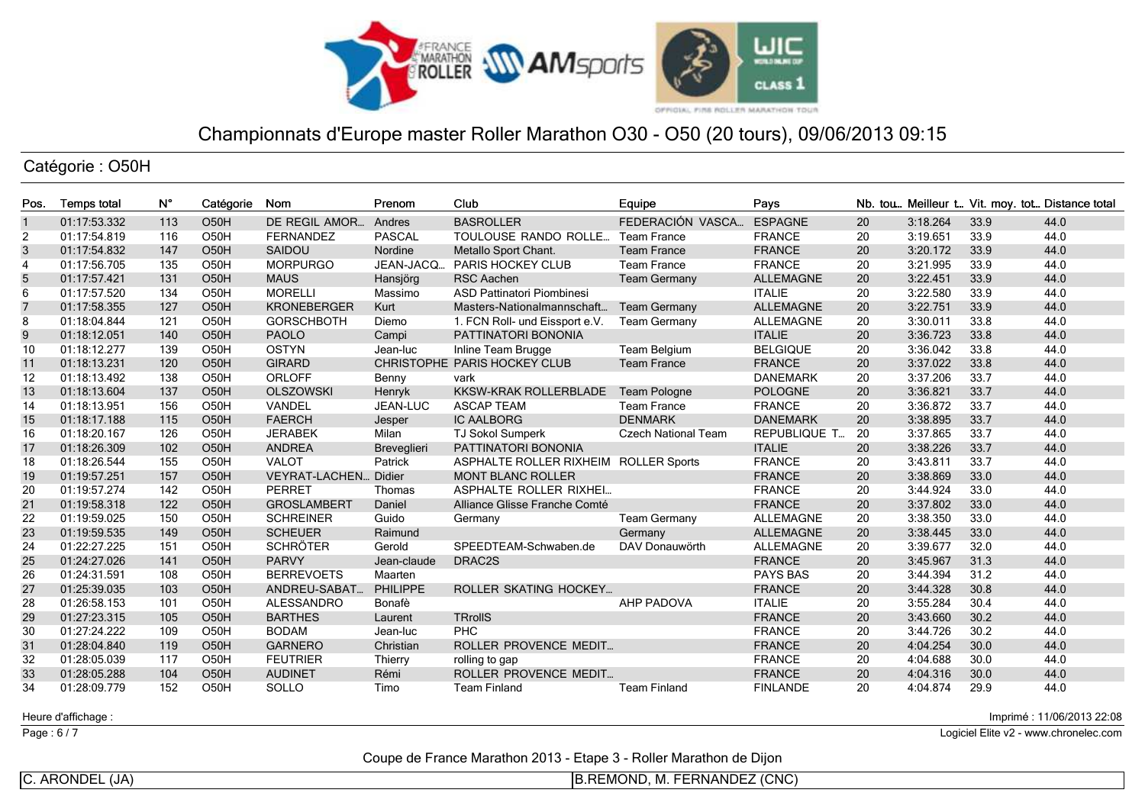

Catégorie : O50H

| Pos.           | <b>Temps total</b> | N°  | Catégorie         | Nom                         | Prenom             | Club                                  | Equipe                     | Pays             |    |          |      | Nb. tou Meilleur t Vit. moy. tot Distance total |
|----------------|--------------------|-----|-------------------|-----------------------------|--------------------|---------------------------------------|----------------------------|------------------|----|----------|------|-------------------------------------------------|
| $\mathbf{1}$   | 01:17:53.332       | 113 | O <sub>50</sub> H | DE REGIL AMOR               | Andres             | <b>BASROLLER</b>                      | FEDERACIÓN VASCA           | <b>ESPAGNE</b>   | 20 | 3:18.264 | 33.9 | 44.0                                            |
| 2              | 01:17:54.819       | 116 | O <sub>50</sub> H | <b>FERNANDEZ</b>            | <b>PASCAL</b>      | TOULOUSE RANDO ROLLE                  | <b>Team France</b>         | <b>FRANCE</b>    | 20 | 3:19.651 | 33.9 | 44.0                                            |
| $\mathbf{3}$   | 01:17:54.832       | 147 | O <sub>50</sub> H | SAIDOU                      | Nordine            | Metallo Sport Chant.                  | <b>Team France</b>         | <b>FRANCE</b>    | 20 | 3:20.172 | 33.9 | 44.0                                            |
| $\overline{4}$ | 01:17:56.705       | 135 | O <sub>50</sub> H | <b>MORPURGO</b>             | JEAN-JACQ          | <b>PARIS HOCKEY CLUB</b>              | <b>Team France</b>         | <b>FRANCE</b>    | 20 | 3:21.995 | 33.9 | 44.0                                            |
| 5              | 01:17:57.421       | 131 | O <sub>50</sub> H | <b>MAUS</b>                 | Hansjörg           | <b>RSC Aachen</b>                     | <b>Team Germany</b>        | <b>ALLEMAGNE</b> | 20 | 3:22.451 | 33.9 | 44.0                                            |
| 6              | 01:17:57.520       | 134 | O <sub>50</sub> H | <b>MORELLI</b>              | Massimo            | ASD Pattinatori Piombinesi            |                            | <b>ITALIE</b>    | 20 | 3:22.580 | 33.9 | 44.0                                            |
| $\overline{7}$ | 01:17:58.355       | 127 | O <sub>50</sub> H | <b>KRONEBERGER</b>          | Kurt               | Masters-Nationalmannschaft            | <b>Team Germany</b>        | <b>ALLEMAGNE</b> | 20 | 3:22.751 | 33.9 | 44.0                                            |
| 8              | 01:18:04.844       | 121 | O <sub>50</sub> H | <b>GORSCHBOTH</b>           | Diemo              | 1. FCN Roll- und Eissport e.V.        | <b>Team Germany</b>        | <b>ALLEMAGNE</b> | 20 | 3:30.011 | 33.8 | 44.0                                            |
| 9              | 01:18:12.051       | 140 | O <sub>50</sub> H | <b>PAOLO</b>                | Campi              | PATTINATORI BONONIA                   |                            | <b>ITALIE</b>    | 20 | 3:36.723 | 33.8 | 44.0                                            |
| 10             | 01:18:12.277       | 139 | O <sub>50</sub> H | <b>OSTYN</b>                | Jean-luc           | Inline Team Brugge                    | Team Belgium               | <b>BELGIQUE</b>  | 20 | 3:36.042 | 33.8 | 44.0                                            |
| 11             | 01:18:13.231       | 120 | O <sub>50</sub> H | <b>GIRARD</b>               |                    | CHRISTOPHE PARIS HOCKEY CLUB          | <b>Team France</b>         | <b>FRANCE</b>    | 20 | 3:37.022 | 33.8 | 44.0                                            |
| 12             | 01:18:13.492       | 138 | O <sub>50</sub> H | <b>ORLOFF</b>               | Benny              | vark                                  |                            | <b>DANEMARK</b>  | 20 | 3:37.206 | 33.7 | 44.0                                            |
| 13             | 01:18:13.604       | 137 | O <sub>50</sub> H | <b>OLSZOWSKI</b>            | Henryk             | <b>KKSW-KRAK ROLLERBLADE</b>          | <b>Team Pologne</b>        | <b>POLOGNE</b>   | 20 | 3:36.821 | 33.7 | 44.0                                            |
| 14             | 01:18:13.951       | 156 | O <sub>50</sub> H | VANDEL                      | <b>JEAN-LUC</b>    | <b>ASCAP TEAM</b>                     | <b>Team France</b>         | <b>FRANCE</b>    | 20 | 3:36.872 | 33.7 | 44.0                                            |
| 15             | 01:18:17.188       | 115 | O <sub>50</sub> H | <b>FAERCH</b>               | Jesper             | <b>IC AALBORG</b>                     | <b>DENMARK</b>             | <b>DANEMARK</b>  | 20 | 3:38.895 | 33.7 | 44.0                                            |
| 16             | 01:18:20.167       | 126 | O <sub>50</sub> H | <b>JERABEK</b>              | Milan              | <b>TJ Sokol Sumperk</b>               | <b>Czech National Team</b> | REPUBLIQUE T     | 20 | 3:37.865 | 33.7 | 44.0                                            |
| 17             | 01:18:26.309       | 102 | O <sub>50</sub> H | <b>ANDREA</b>               | <b>Breveglieri</b> | PATTINATORI BONONIA                   |                            | <b>ITALIE</b>    | 20 | 3:38.226 | 33.7 | 44.0                                            |
| 18             | 01:18:26.544       | 155 | O <sub>50</sub> H | <b>VALOT</b>                | Patrick            | ASPHALTE ROLLER RIXHEIM ROLLER Sports |                            | <b>FRANCE</b>    | 20 | 3:43.811 | 33.7 | 44.0                                            |
| 19             | 01:19:57.251       | 157 | O <sub>50</sub> H | <b>VEYRAT-LACHEN Didier</b> |                    | <b>MONT BLANC ROLLER</b>              |                            | <b>FRANCE</b>    | 20 | 3:38.869 | 33.0 | 44.0                                            |
| 20             | 01:19:57.274       | 142 | O <sub>50</sub> H | PERRET                      | Thomas             | ASPHALTE ROLLER RIXHEI                |                            | <b>FRANCE</b>    | 20 | 3:44.924 | 33.0 | 44.0                                            |
| 21             | 01:19:58.318       | 122 | O <sub>50</sub> H | <b>GROSLAMBERT</b>          | Daniel             | Alliance Glisse Franche Comté         |                            | <b>FRANCE</b>    | 20 | 3:37.802 | 33.0 | 44.0                                            |
| 22             | 01:19:59.025       | 150 | O50H              | <b>SCHREINER</b>            | Guido              | Germany                               | <b>Team Germany</b>        | <b>ALLEMAGNE</b> | 20 | 3:38.350 | 33.0 | 44.0                                            |
| 23             | 01:19:59.535       | 149 | O <sub>50</sub> H | <b>SCHEUER</b>              | Raimund            |                                       | Germany                    | <b>ALLEMAGNE</b> | 20 | 3:38.445 | 33.0 | 44.0                                            |
| 24             | 01:22:27.225       | 151 | O <sub>50</sub> H | <b>SCHRÖTER</b>             | Gerold             | SPEEDTEAM-Schwaben.de                 | DAV Donauwörth             | <b>ALLEMAGNE</b> | 20 | 3:39.677 | 32.0 | 44.0                                            |
| 25             | 01:24:27.026       | 141 | O <sub>50</sub> H | <b>PARVY</b>                | Jean-claude        | DRAC2S                                |                            | <b>FRANCE</b>    | 20 | 3:45.967 | 31.3 | 44.0                                            |
| 26             | 01:24:31.591       | 108 | O50H              | <b>BERREVOETS</b>           | Maarten            |                                       |                            | <b>PAYS BAS</b>  | 20 | 3:44.394 | 31.2 | 44.0                                            |
| 27             | 01:25:39.035       | 103 | O <sub>50</sub> H | ANDREU-SABAT.               | <b>PHILIPPE</b>    | <b>ROLLER SKATING HOCKEY</b>          |                            | <b>FRANCE</b>    | 20 | 3:44.328 | 30.8 | 44.0                                            |
| 28             | 01:26:58.153       | 101 | O50H              | <b>ALESSANDRO</b>           | Bonafè             |                                       | <b>AHP PADOVA</b>          | <b>ITALIE</b>    | 20 | 3:55.284 | 30.4 | 44.0                                            |
| 29             | 01:27:23.315       | 105 | O <sub>50</sub> H | <b>BARTHES</b>              | Laurent            | <b>TRrollS</b>                        |                            | <b>FRANCE</b>    | 20 | 3:43.660 | 30.2 | 44.0                                            |
| 30             | 01:27:24.222       | 109 | O <sub>50</sub> H | <b>BODAM</b>                | Jean-luc           | <b>PHC</b>                            |                            | <b>FRANCE</b>    | 20 | 3:44.726 | 30.2 | 44.0                                            |
| 31             | 01:28:04.840       | 119 | O <sub>50</sub> H | <b>GARNERO</b>              | Christian          | ROLLER PROVENCE MEDIT                 |                            | <b>FRANCE</b>    | 20 | 4:04.254 | 30.0 | 44.0                                            |
| 32             | 01:28:05.039       | 117 | O <sub>50</sub> H | <b>FEUTRIER</b>             | Thierry            | rolling to gap                        |                            | <b>FRANCE</b>    | 20 | 4:04.688 | 30.0 | 44.0                                            |
| 33             | 01:28:05.288       | 104 | O <sub>50</sub> H | <b>AUDINET</b>              | Rémi               | ROLLER PROVENCE MEDIT                 |                            | <b>FRANCE</b>    | 20 | 4:04.316 | 30.0 | 44.0                                            |
| 34             | 01:28:09.779       | 152 | O50H              | <b>SOLLO</b>                | Timo               | <b>Team Finland</b>                   | <b>Team Finland</b>        | <b>FINLANDE</b>  | 20 | 4:04.874 | 29.9 | 44.0                                            |

Heure d'affichage :

Page : 6/7

Imprimé : 11/06/2013 22:08

Logiciel Elite v2 - www.chronelec.com

Coupe de France Marathon 2013 - Etape 3 - Roller Marathon de Dijon

C. ARONDEL (JA)